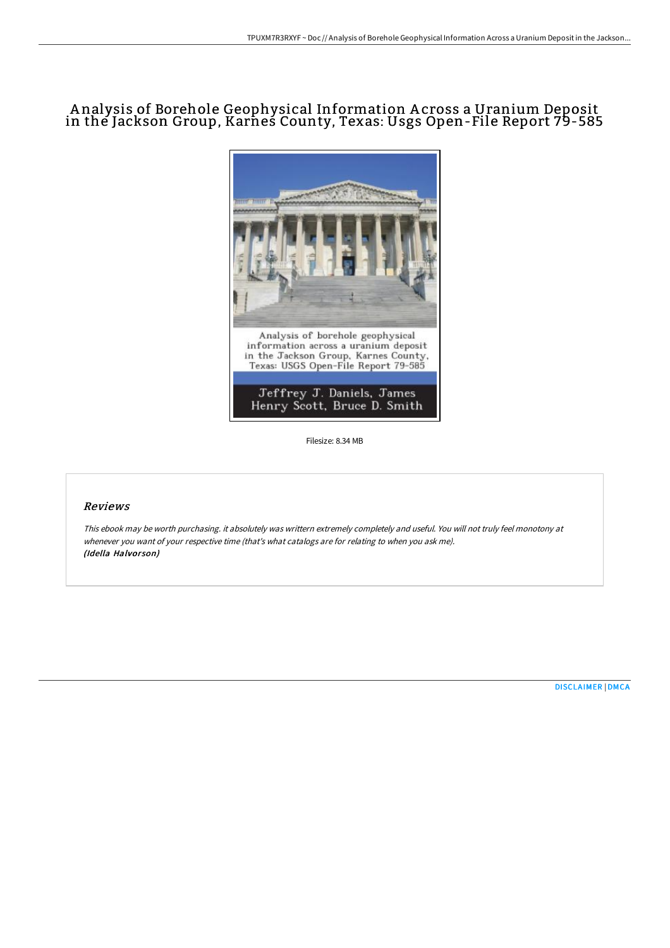## A nalysis of Borehole Geophysical Information A cross a Uranium Deposit in the Jackson Group, Karnes County, Texas: Usgs Open-File Report 79-585



Filesize: 8.34 MB

## Reviews

This ebook may be worth purchasing. it absolutely was writtern extremely completely and useful. You will not truly feel monotony at whenever you want of your respective time (that's what catalogs are for relating to when you ask me). (Idella Halvorson)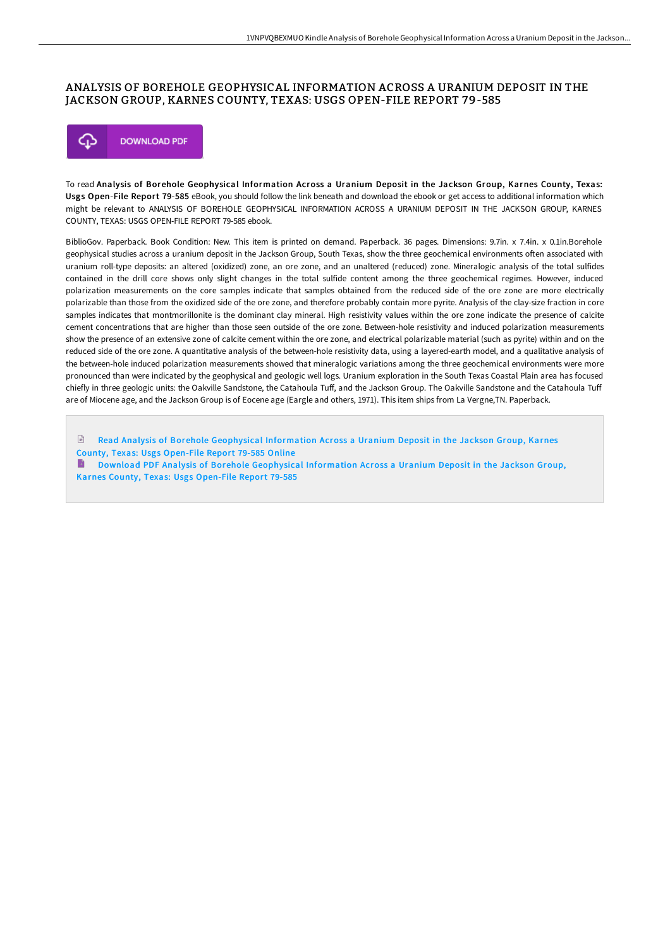## ANALYSIS OF BOREHOLE GEOPHYSICAL INFORMATION ACROSS A URANIUM DEPOSIT IN THE JACKSON GROUP, KARNES COUNTY, TEXAS: USGS OPEN-FILE REPORT 79-585



To read Analysis of Borehole Geophysical Information Across a Uranium Deposit in the Jackson Group, Karnes County, Texas: Usgs Open-File Report 79-585 eBook, you should follow the link beneath and download the ebook or get access to additional information which might be relevant to ANALYSIS OF BOREHOLE GEOPHYSICAL INFORMATION ACROSS A URANIUM DEPOSIT IN THE JACKSON GROUP, KARNES COUNTY, TEXAS: USGS OPEN-FILE REPORT 79-585 ebook.

BiblioGov. Paperback. Book Condition: New. This item is printed on demand. Paperback. 36 pages. Dimensions: 9.7in. x 7.4in. x 0.1in.Borehole geophysical studies across a uranium deposit in the Jackson Group, South Texas, show the three geochemical environments often associated with uranium roll-type deposits: an altered (oxidized) zone, an ore zone, and an unaltered (reduced) zone. Mineralogic analysis of the total sulfides contained in the drill core shows only slight changes in the total sulfide content among the three geochemical regimes. However, induced polarization measurements on the core samples indicate that samples obtained from the reduced side of the ore zone are more electrically polarizable than those from the oxidized side of the ore zone, and therefore probably contain more pyrite. Analysis of the clay-size fraction in core samples indicates that montmorillonite is the dominant clay mineral. High resistivity values within the ore zone indicate the presence of calcite cement concentrations that are higher than those seen outside of the ore zone. Between-hole resistivity and induced polarization measurements show the presence of an extensive zone of calcite cement within the ore zone, and electrical polarizable material (such as pyrite) within and on the reduced side of the ore zone. A quantitative analysis of the between-hole resistivity data, using a layered-earth model, and a qualitative analysis of the between-hole induced polarization measurements showed that mineralogic variations among the three geochemical environments were more pronounced than were indicated by the geophysical and geologic well logs. Uranium exploration in the South Texas Coastal Plain area has focused chiefly in three geologic units: the Oakville Sandstone, the Catahoula Tuff, and the Jackson Group. The Oakville Sandstone and the Catahoula Tuff are of Miocene age, and the Jackson Group is of Eocene age (Eargle and others, 1971). This item ships from La Vergne,TN. Paperback.

 $\mathbb{R}$ Read Analysis of Borehole [Geophysical](http://albedo.media/analysis-of-borehole-geophysical-information-acr.html) Information Across a Uranium Deposit in the Jackson Group, Karnes County, Texas: Usgs Open-File Report 79-585 Online

B Download PDF Analysis of Borehole [Geophysical](http://albedo.media/analysis-of-borehole-geophysical-information-acr.html) Information Across a Uranium Deposit in the Jackson Group, Karnes County, Texas: Usgs Open-File Report 79-585